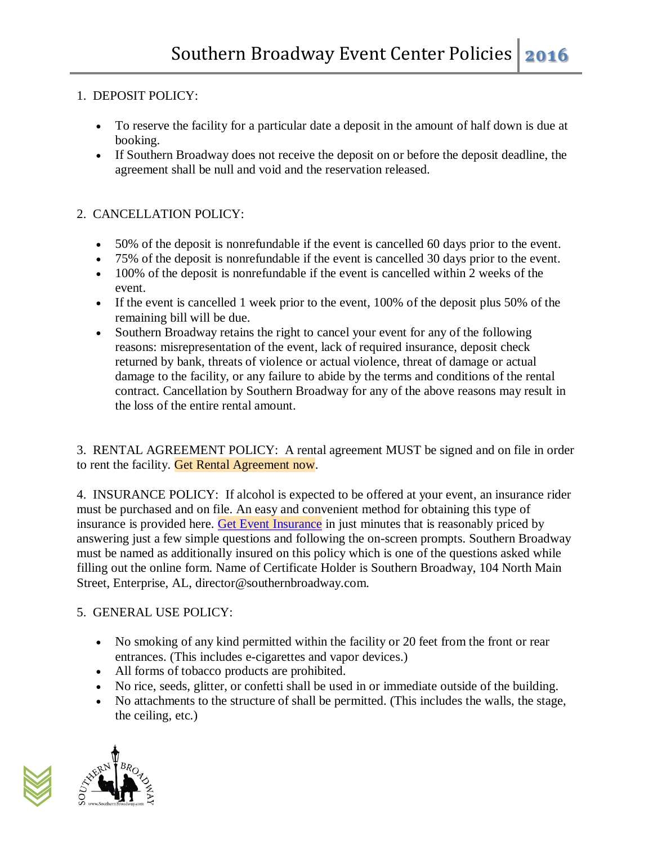## 1. DEPOSIT POLICY:

- To reserve the facility for a particular date a deposit in the amount of half down is due at booking.
- If Southern Broadway does not receive the deposit on or before the deposit deadline, the agreement shall be null and void and the reservation released.

# 2. CANCELLATION POLICY:

- 50% of the deposit is nonrefundable if the event is cancelled 60 days prior to the event.
- 75% of the deposit is nonrefundable if the event is cancelled 30 days prior to the event.
- 100% of the deposit is nonrefundable if the event is cancelled within 2 weeks of the event.
- If the event is cancelled 1 week prior to the event, 100% of the deposit plus 50% of the remaining bill will be due.
- Southern Broadway retains the right to cancel your event for any of the following reasons: misrepresentation of the event, lack of required insurance, deposit check returned by bank, threats of violence or actual violence, threat of damage or actual damage to the facility, or any failure to abide by the terms and conditions of the rental contract. Cancellation by Southern Broadway for any of the above reasons may result in the loss of the entire rental amount.

3. RENTAL AGREEMENT POLICY: A rental agreement MUST be signed and on file in order to rent the facility. Get Rental Agreement now.

4. INSURANCE POLICY: If alcohol is expected to be offered at your event, an insurance rider must be purchased and on file. An easy and convenient method for obtaining this type of insurance is provided here. [Get Event Insurance](https://www.theeventhelper.com/) in just minutes that is reasonably priced by answering just a few simple questions and following the on-screen prompts. Southern Broadway must be named as additionally insured on this policy which is one of the questions asked while filling out the online form. Name of Certificate Holder is Southern Broadway, 104 North Main Street, Enterprise, AL, director@southernbroadway.com.

## 5. GENERAL USE POLICY:

- No smoking of any kind permitted within the facility or 20 feet from the front or rear entrances. (This includes e-cigarettes and vapor devices.)
- All forms of tobacco products are prohibited.
- No rice, seeds, glitter, or confetti shall be used in or immediate outside of the building.
- No attachments to the structure of shall be permitted. (This includes the walls, the stage, the ceiling, etc.)

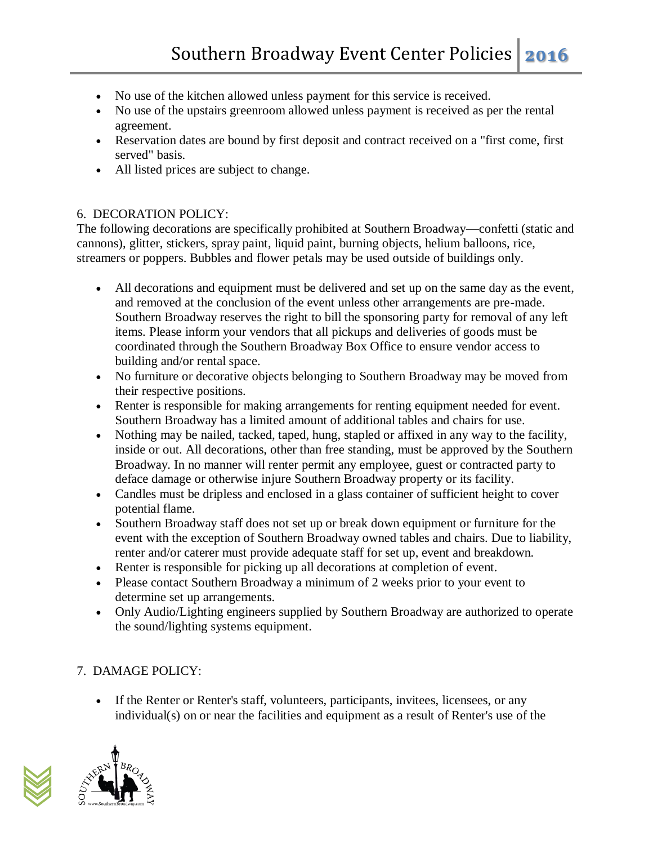- No use of the kitchen allowed unless payment for this service is received.
- No use of the upstairs greenroom allowed unless payment is received as per the rental agreement.
- Reservation dates are bound by first deposit and contract received on a "first come, first served" basis.
- All listed prices are subject to change.

## 6. DECORATION POLICY:

The following decorations are specifically prohibited at Southern Broadway—confetti (static and cannons), glitter, stickers, spray paint, liquid paint, burning objects, helium balloons, rice, streamers or poppers. Bubbles and flower petals may be used outside of buildings only.

- All decorations and equipment must be delivered and set up on the same day as the event, and removed at the conclusion of the event unless other arrangements are pre-made. Southern Broadway reserves the right to bill the sponsoring party for removal of any left items. Please inform your vendors that all pickups and deliveries of goods must be coordinated through the Southern Broadway Box Office to ensure vendor access to building and/or rental space.
- No furniture or decorative objects belonging to Southern Broadway may be moved from their respective positions.
- Renter is responsible for making arrangements for renting equipment needed for event. Southern Broadway has a limited amount of additional tables and chairs for use.
- Nothing may be nailed, tacked, taped, hung, stapled or affixed in any way to the facility, inside or out. All decorations, other than free standing, must be approved by the Southern Broadway. In no manner will renter permit any employee, guest or contracted party to deface damage or otherwise injure Southern Broadway property or its facility.
- Candles must be dripless and enclosed in a glass container of sufficient height to cover potential flame.
- Southern Broadway staff does not set up or break down equipment or furniture for the event with the exception of Southern Broadway owned tables and chairs. Due to liability, renter and/or caterer must provide adequate staff for set up, event and breakdown.
- Renter is responsible for picking up all decorations at completion of event.
- Please contact Southern Broadway a minimum of 2 weeks prior to your event to determine set up arrangements.
- Only Audio/Lighting engineers supplied by Southern Broadway are authorized to operate the sound/lighting systems equipment.

# 7. DAMAGE POLICY:

 If the Renter or Renter's staff, volunteers, participants, invitees, licensees, or any individual(s) on or near the facilities and equipment as a result of Renter's use of the

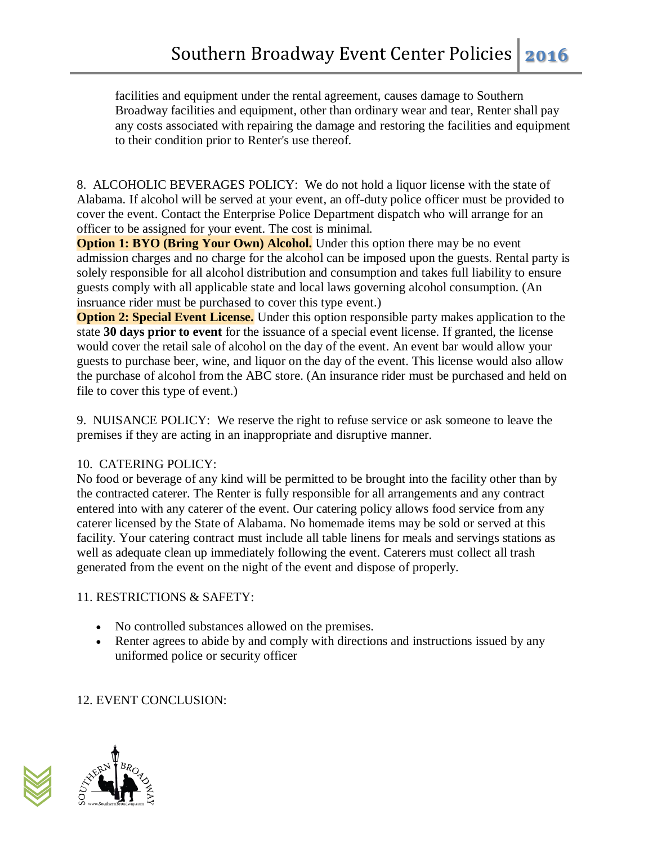facilities and equipment under the rental agreement, causes damage to Southern Broadway facilities and equipment, other than ordinary wear and tear, Renter shall pay any costs associated with repairing the damage and restoring the facilities and equipment to their condition prior to Renter's use thereof.

8. ALCOHOLIC BEVERAGES POLICY: We do not hold a liquor license with the state of Alabama. If alcohol will be served at your event, an off-duty police officer must be provided to cover the event. Contact the Enterprise Police Department dispatch who will arrange for an officer to be assigned for your event. The cost is minimal.

**Option 1: BYO (Bring Your Own) Alcohol.** Under this option there may be no event admission charges and no charge for the alcohol can be imposed upon the guests. Rental party is solely responsible for all alcohol distribution and consumption and takes full liability to ensure guests comply with all applicable state and local laws governing alcohol consumption. (An insruance rider must be purchased to cover this type event.)

**Option 2: Special Event License.** Under this option responsible party makes application to the state **30 days prior to event** for the issuance of a special event license. If granted, the license would cover the retail sale of alcohol on the day of the event. An event bar would allow your guests to purchase beer, wine, and liquor on the day of the event. This license would also allow the purchase of alcohol from the ABC store. (An insurance rider must be purchased and held on file to cover this type of event.)

9. NUISANCE POLICY: We reserve the right to refuse service or ask someone to leave the premises if they are acting in an inappropriate and disruptive manner.

## 10. CATERING POLICY:

No food or beverage of any kind will be permitted to be brought into the facility other than by the contracted caterer. The Renter is fully responsible for all arrangements and any contract entered into with any caterer of the event. Our catering policy allows food service from any caterer licensed by the State of Alabama. No homemade items may be sold or served at this facility. Your catering contract must include all table linens for meals and servings stations as well as adequate clean up immediately following the event. Caterers must collect all trash generated from the event on the night of the event and dispose of properly.

## 11. RESTRICTIONS & SAFETY:

- No controlled substances allowed on the premises.
- Renter agrees to abide by and comply with directions and instructions issued by any uniformed police or security officer

# 12. EVENT CONCLUSION: